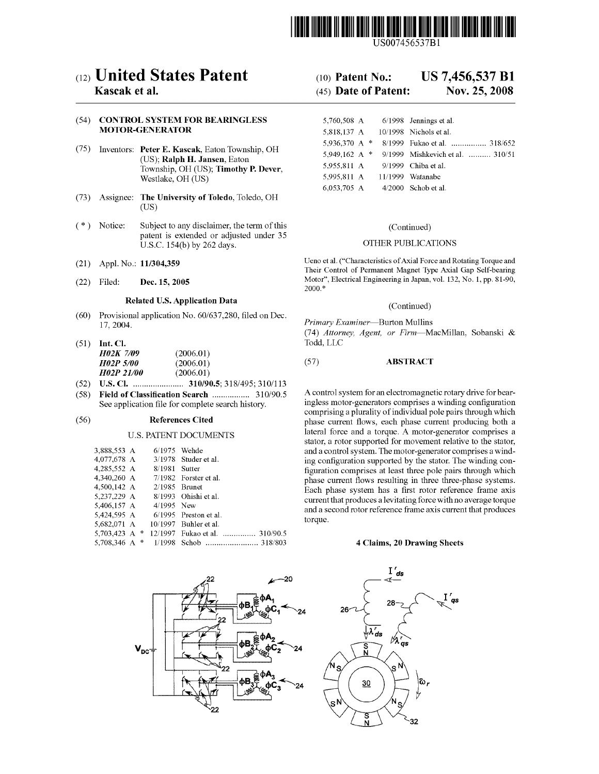

US007456537Bl

### c12) **United States Patent**

#### **Kascak et al.**

#### (54) **CONTROL SYSTEM FOR BEARINGLESS MOTOR-GENERATOR**

- (75) Inventors: **Peter E. Kascak,** Eaton Township, OH (US); **Ralph H. Jansen,** Eaton Township, OH (US); **Timothy P. Dever,**  Westlake, OH (US)
- (73) Assignee: **The University of Toledo,** Toledo, OH (US)
- $(*)$  Notice: Subject to any disclaimer, the term of this patent is extended or adjusted under 35 U.S.C. 154(b) by 262 days.
- (21) Appl. No.: **11/304,359**
- (22) Filed: **Dec. 15, 2005**

#### **Related U.S. Application Data**

- (60) Provisional application No. 60/637,280, filed on Dec. 17, 2004.
- (51) **Int. Cl.**  *H02K 7/09* (2006.01)<br>*H02P 5/00* (2006.01) *H02P 5/00* (2006.01)<br>*H02P 21/00* (2006.01) *H02P 21/00*
- (52) **U.S. Cl.** ....................... **310/90.5;** 318/495; 310/113
- (58) **Field of Classification Search** ................. 310/90.5 See application file for complete search history.

#### (56) **References Cited**

#### U.S. PATENT DOCUMENTS

| 3,888,553 A     | $6/1975$ Wehde  |                                |
|-----------------|-----------------|--------------------------------|
| 4,077,678 A     |                 | $3/1978$ Studer et al.         |
| 4.285.552 A     | 8/1981 Sutter   |                                |
| 4.340.260 A     |                 | $7/1982$ Forster et al.        |
| 4.500.142 A     | $2/1985$ Brunet |                                |
| 5.237.229 A     |                 | 8/1993 Ohishi et al.           |
| 5,406,157 A     | $4/1995$ New    |                                |
| 5.424.595 A     |                 | $6/1995$ Preston et al.        |
| 5.682.071 A     |                 | $10/1997$ Buhler et al.        |
| 5.703.423 A $*$ |                 | 12/1997 Fukao et al.  310/90.5 |
| 5.708.346 A $*$ |                 |                                |



# $-20$  $V_{\rm DC}$

#### (10) **Patent No.: US 7,456,537 Bl**

#### (45) **Date of Patent: Nov. 25, 2008**

| 5,760,508 A     | $6/1998$ Jennings et al.         |
|-----------------|----------------------------------|
| 5,818,137 A     | 10/1998 Nichols et al.           |
| 5,936,370 A *   | 8/1999 Fukao et al.  318/652     |
| 5.949.162 A $*$ | 9/1999 Mishkevich et al.  310/51 |
| 5,955,811 A     | 9/1999 Chiba et al.              |
| 5,995,811 A     | 11/1999 Watanabe                 |
| 6,053,705 A     | $4/2000$ Schob et al.            |

#### (Continued)

#### OTHER PUBLICATIONS

Ueno et al. ("Characteristics of Axial Force and Rotating Torque and Their Control of Permanent Magnet Type Axial Gap Self-bearing Motor", Electrical Engineering in Japan, vol. 132, No. 1, pp. 81-90, 2000.\*

(Continued)

*Primary Examiner-Burton* Mullins (74) *Attorney, Agent, or Firm-MacMillan,* Sobanski & Todd, LLC

#### (57) **ABSTRACT**

A control system for an electromagnetic rotary drive for bearingless motor-generators comprises a winding configuration comprising a plurality of individual pole pairs through which phase current flows, each phase current producing both a lateral force and a torque. A motor-generator comprises a stator, a rotor supported for movement relative to the stator, and a control system. The motor-generator comprises a winding configuration supported by the stator. The winding configuration comprises at least three pole pairs through which phase current flows resulting in three three-phase systems. Each phase system has a first rotor reference frame axis current that produces a levitating force with no average torque and a second rotor reference frame axis current that produces torque.

#### **4 Claims, 20 Drawing Sheets**

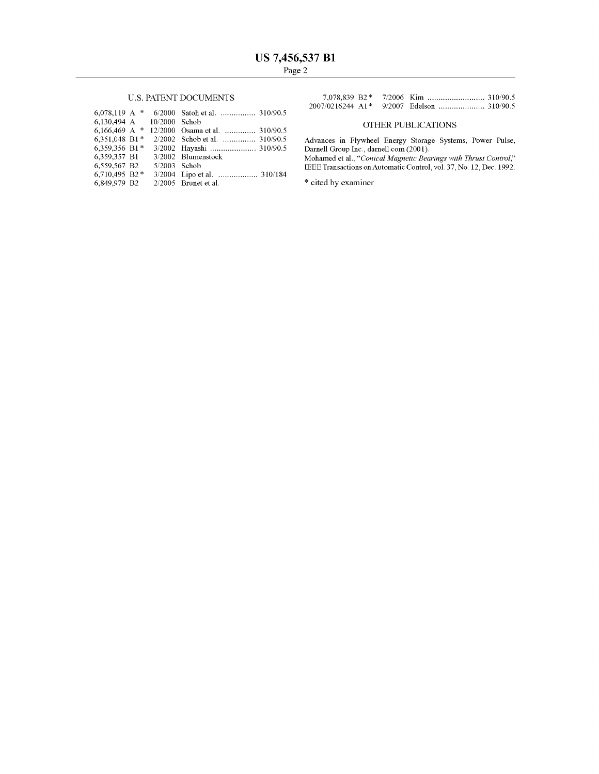#### U.S. PATENT DOCUMENTS

| $6.078.119$ A * |              | 6/2000 Satoh et al.  310/90.5             |
|-----------------|--------------|-------------------------------------------|
|                 |              |                                           |
| $6.166.469$ A * |              | 12/2000 Osama et al.  310/90.5            |
| 6,351,048 B1*   |              | 2/2002 Schob et al.  310/90.5             |
| 6,359,356 B1*   |              | 3/2002 Hayashi  310/90.5                  |
|                 |              | 3/2002 Blumenstock                        |
| 6,559,567 B2    | 5/2003 Schob |                                           |
| 6.710.495 B2*   |              | 3/2004 Lipo et al.  310/184               |
| 6.849.979 B2    |              | $2/2005$ Brunet et al.                    |
|                 |              | 6,130,494 A 10/2000 Schob<br>6.359.357 B1 |

#### OTHER PUBLICATIONS

Advances in Flywheel Energy Storage Systems, Power Pulse, Darnell Group Inc., darnell.com (2001).

Mohamed et al., *"Conical Magnetic Bearings with Thrust Control,"*  IEEE Transactions on Automatic Control, vol. 37, No. 12, Dec. 1992.

 $\hspace{0.1mm}^*$  cited by examiner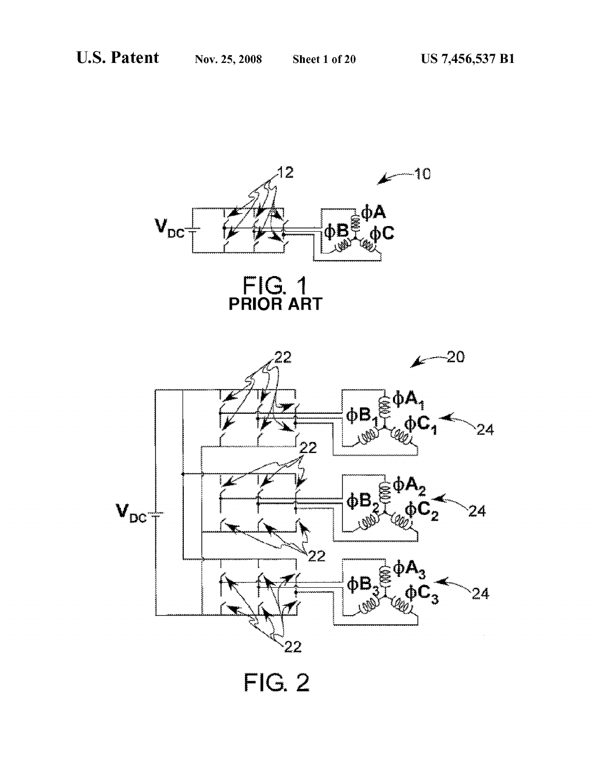

FIG. 1<br>PRIOR ART



**FIG. 2**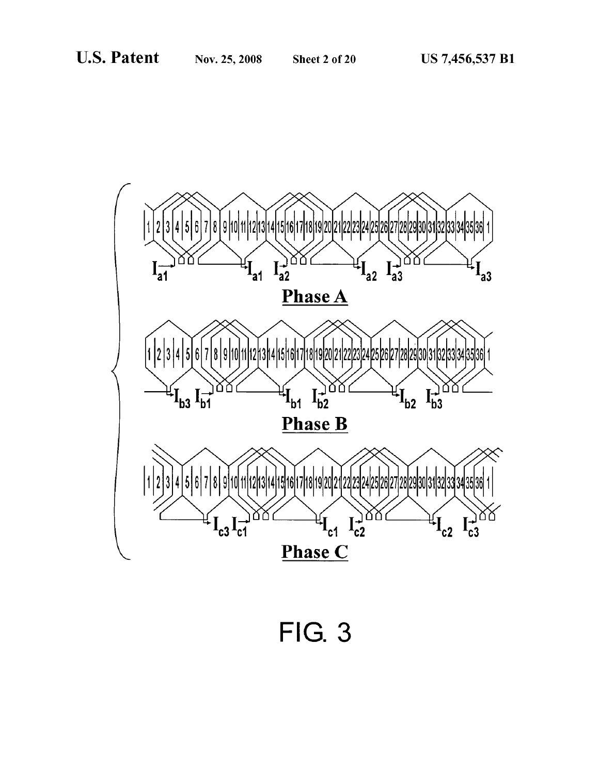![](_page_3_Figure_4.jpeg)

**FIG. 3**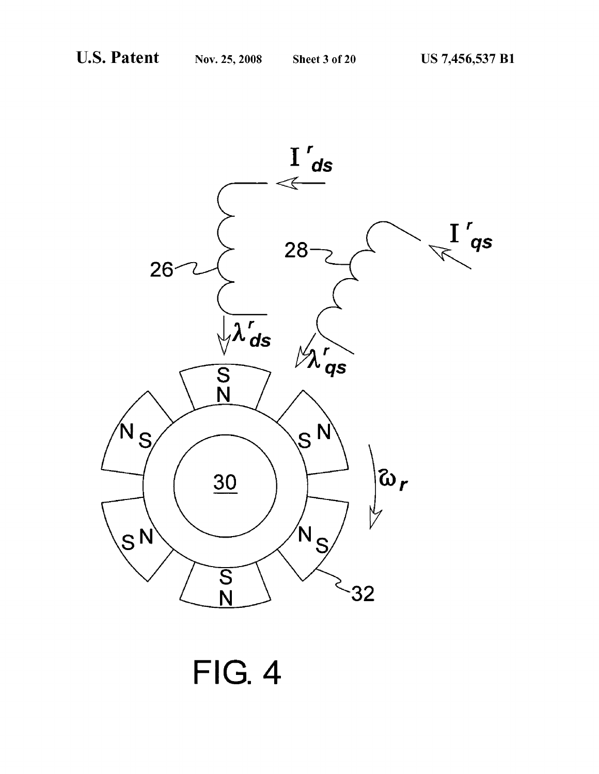![](_page_4_Figure_4.jpeg)

# **FIG. 4**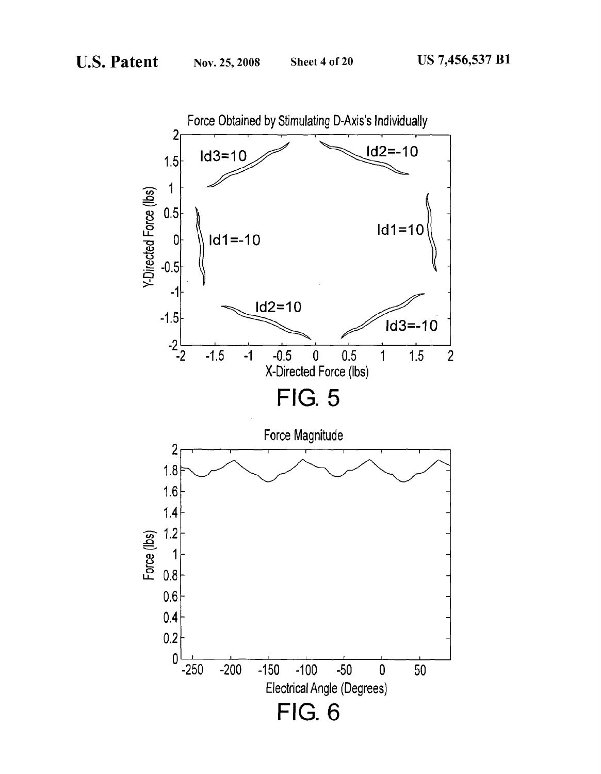![](_page_5_Figure_4.jpeg)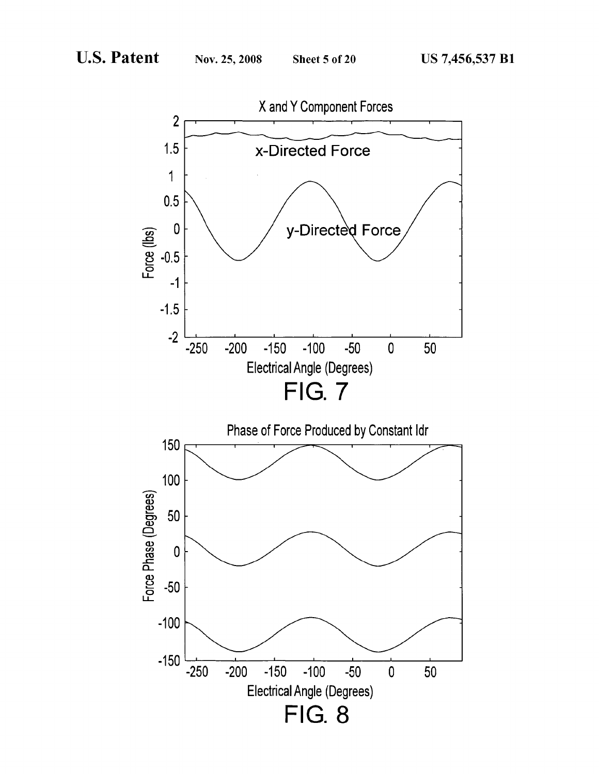![](_page_6_Figure_4.jpeg)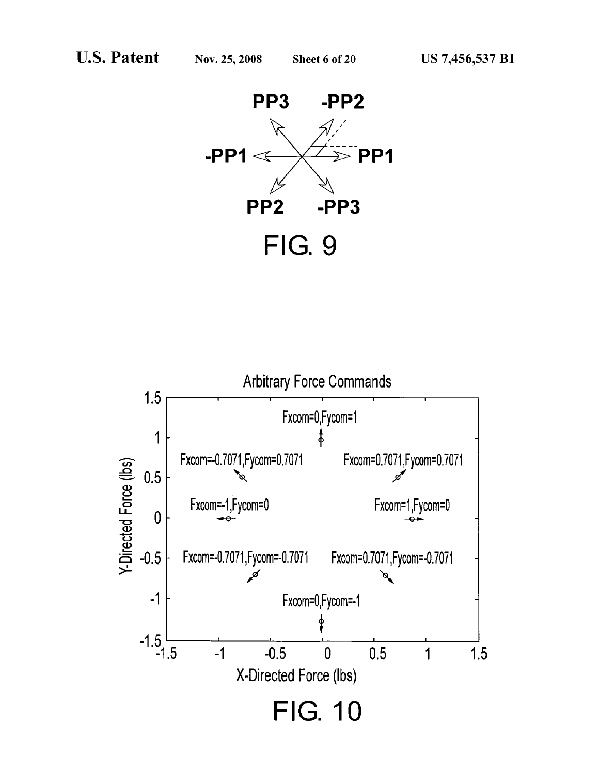![](_page_7_Picture_4.jpeg)

![](_page_7_Figure_5.jpeg)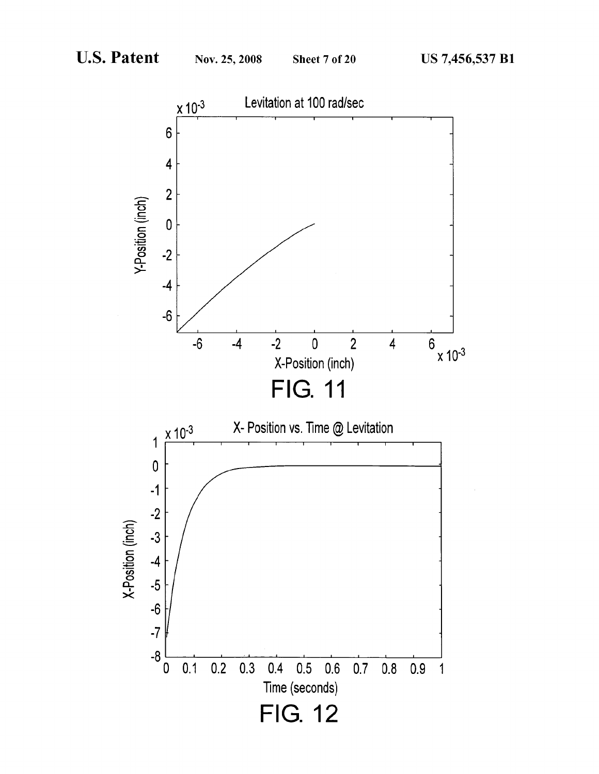![](_page_8_Figure_4.jpeg)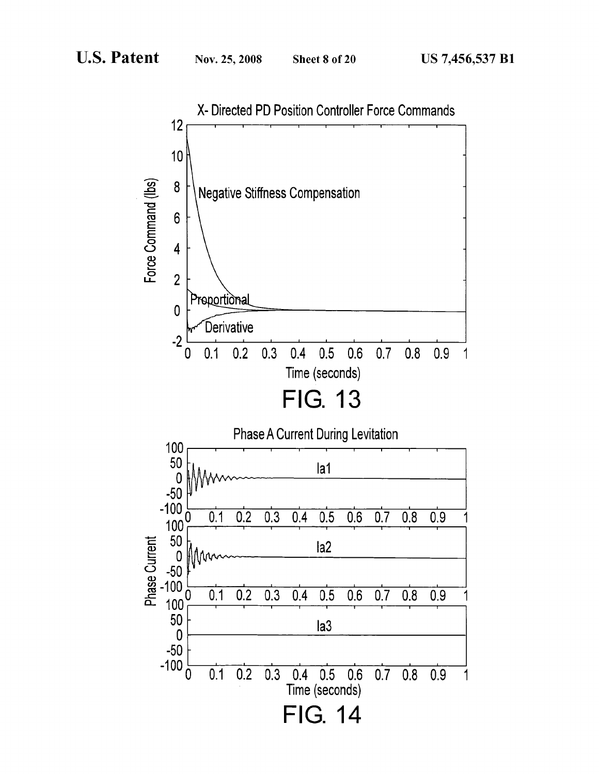![](_page_9_Figure_4.jpeg)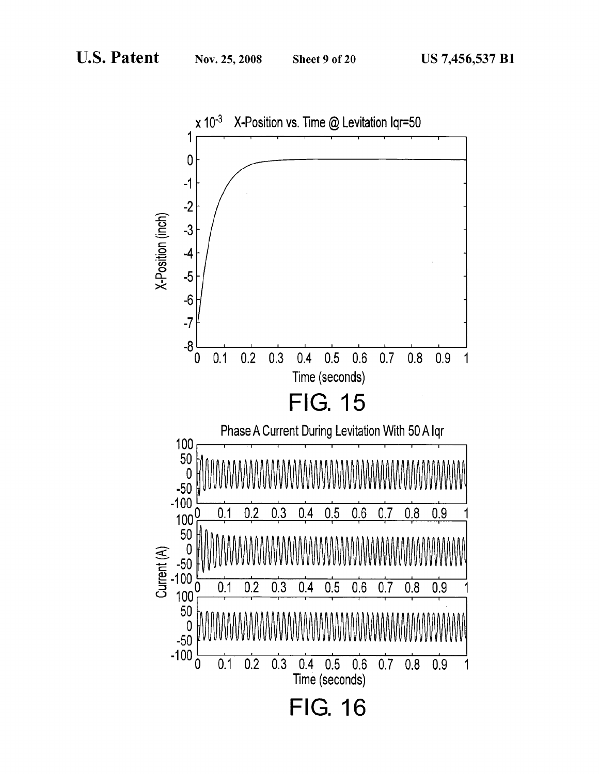![](_page_10_Figure_4.jpeg)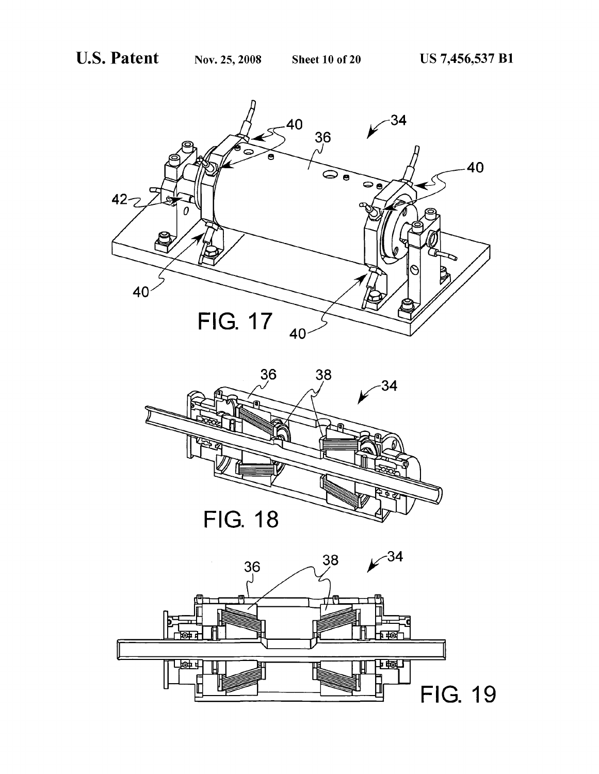![](_page_11_Picture_4.jpeg)

![](_page_11_Picture_5.jpeg)

![](_page_11_Picture_6.jpeg)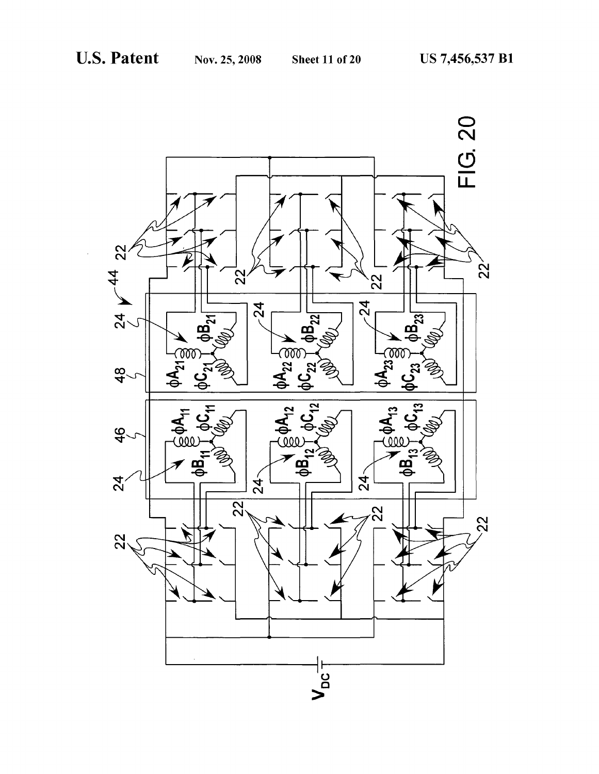![](_page_12_Figure_4.jpeg)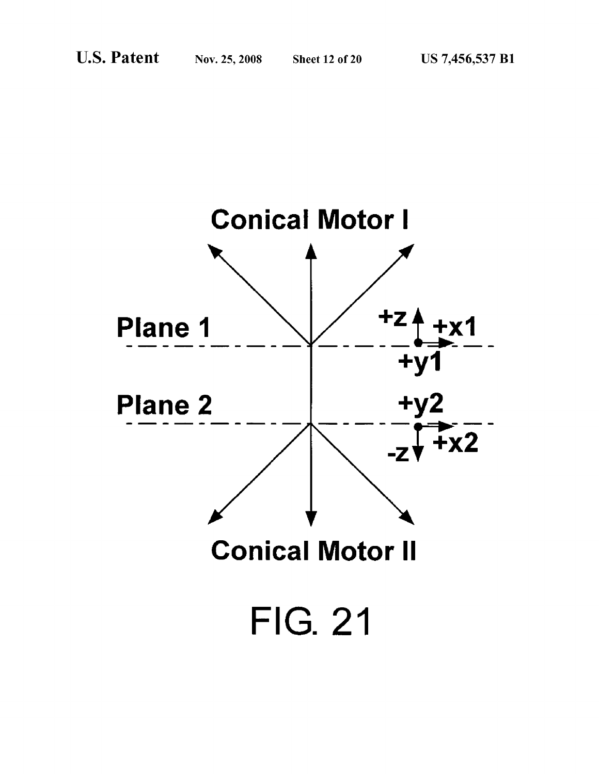![](_page_13_Figure_4.jpeg)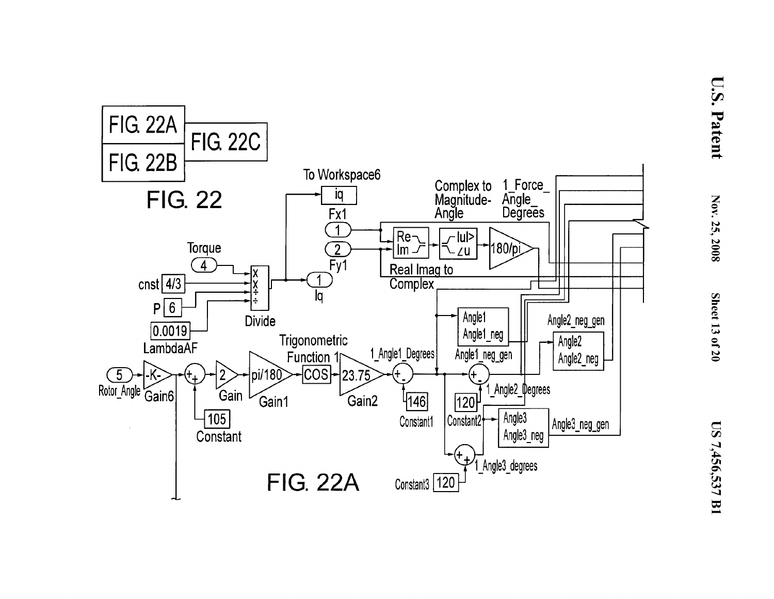![](_page_14_Figure_0.jpeg)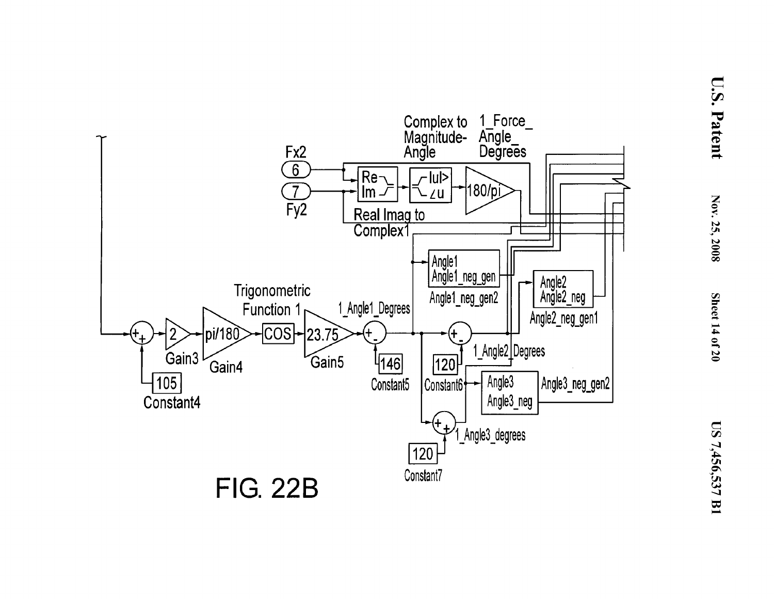![](_page_15_Figure_0.jpeg)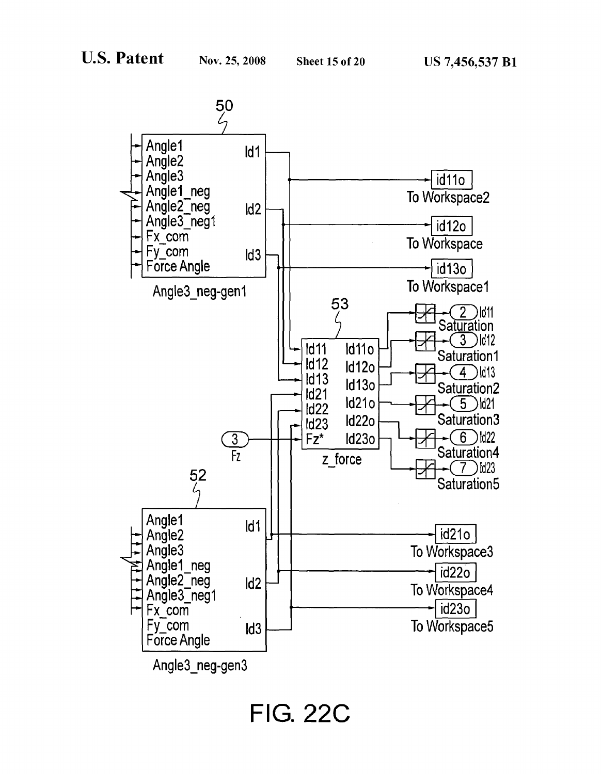![](_page_16_Figure_4.jpeg)

**FIG. 22C**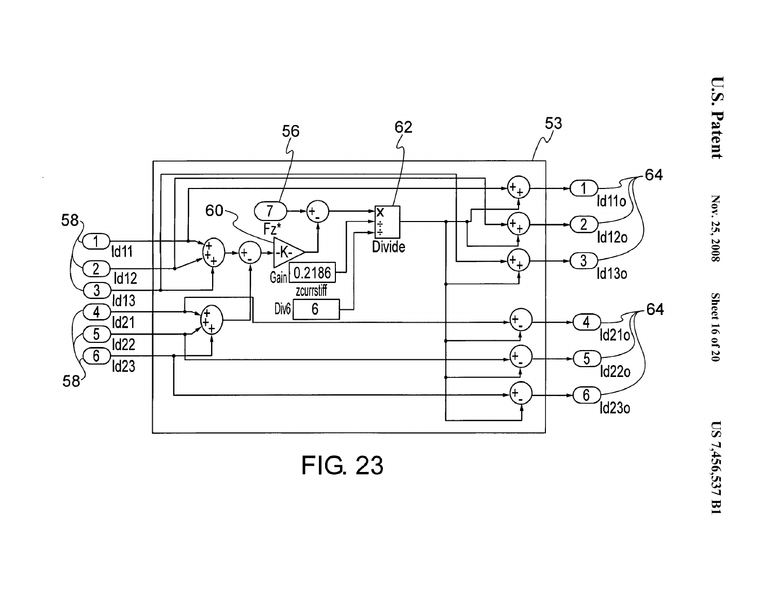![](_page_17_Figure_0.jpeg)

**FIG. 23**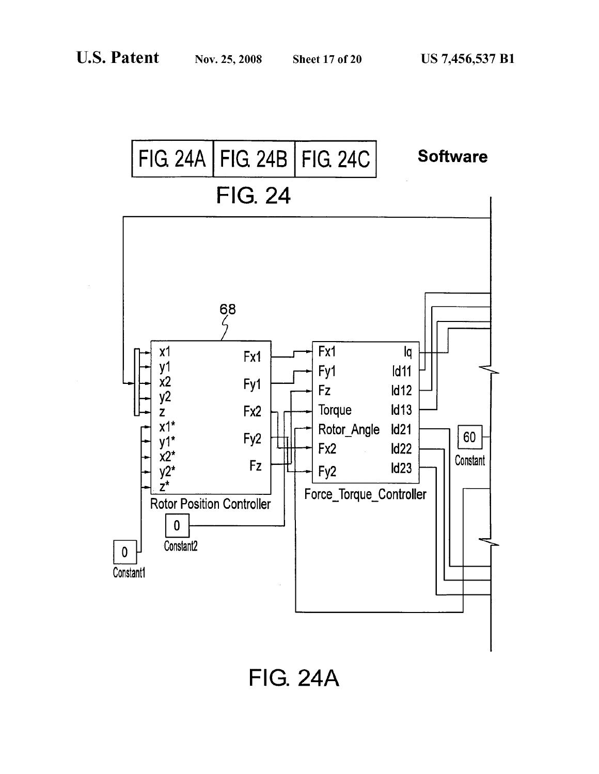![](_page_18_Figure_4.jpeg)

**FIG. 24A**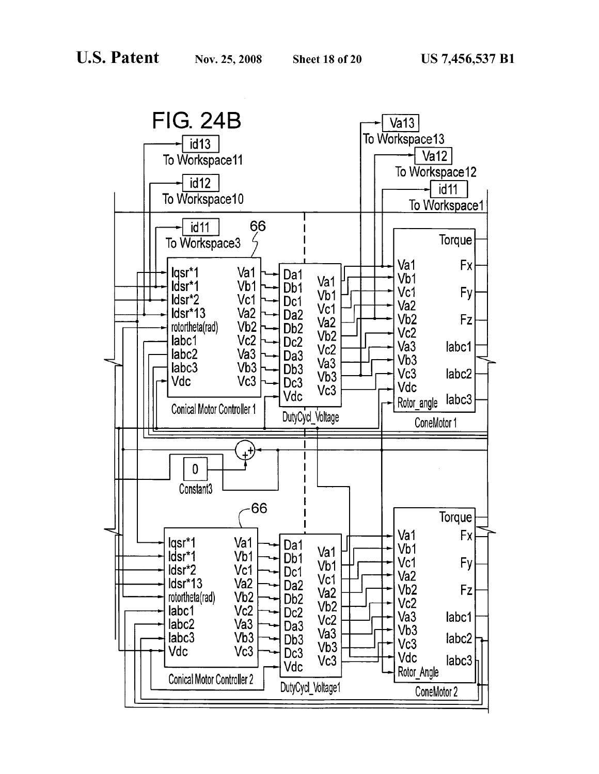![](_page_19_Figure_4.jpeg)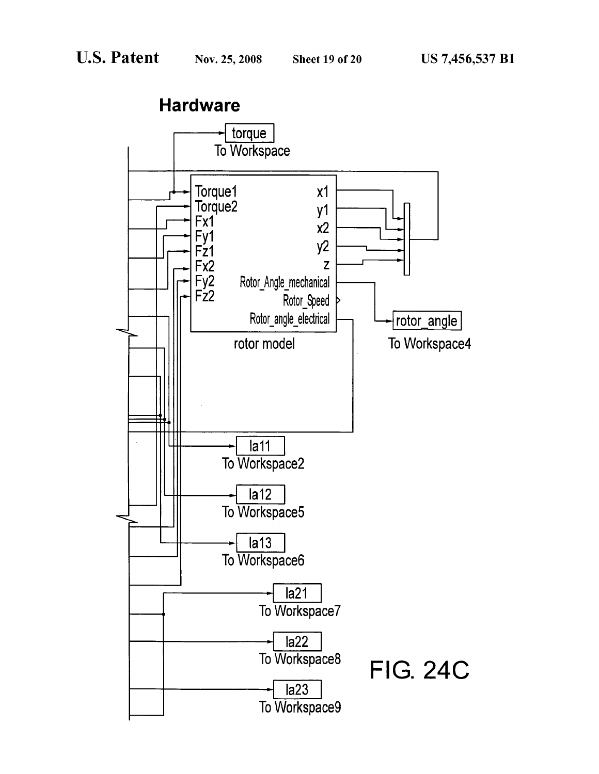**Hardware** torque To Workspace Torque1  $x1$ Torque2<br>Fx1 y1  $x2$ Fy1<br>Fz1  $y2$ Fx2 Z  $F_{Z2}$ Rotor\_Angle\_mechanical Rotor\_Speed Rotor\_angle\_electrical rotor\_angle To Workspace4 rotor model  $l$ a11 To Workspace2  $\overline{la12}$ To Workspace5  $\overline{la13}$ To Workspace6  $l$ a21 To Workspace7  $la22$ To Workspace8 **FIG. 24C**  $l$ a23 To Workspace9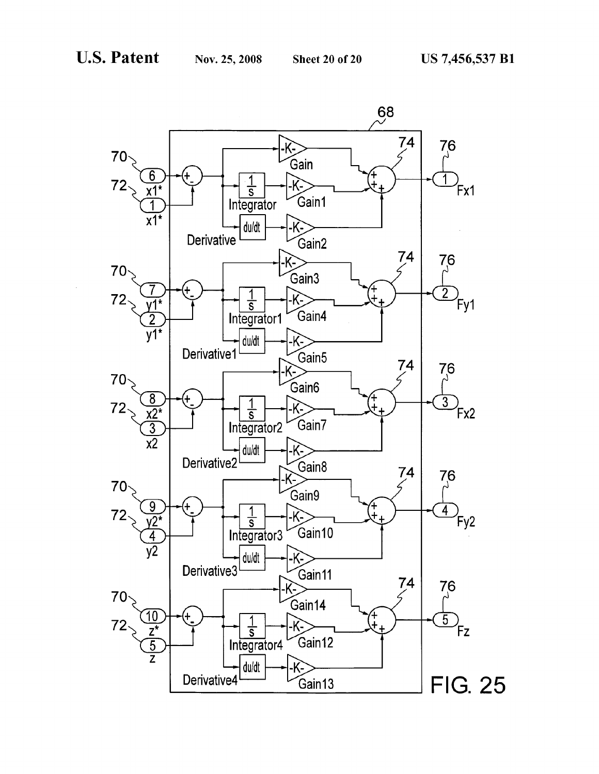![](_page_21_Figure_4.jpeg)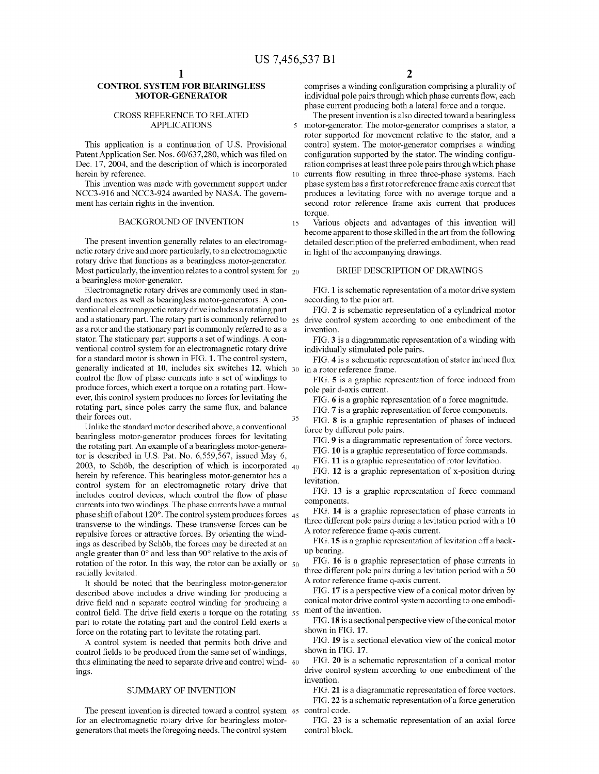#### **CONTROL SYSTEM FOR BEARINGLESS MOTOR-GENERATOR**

## APPLICATIONS

This application is a continuation of U.S. Provisional Patent Application Ser. Nos. 60/637,280, which was filed on Dec. 17, 2004, and the description of which is incorporated herein by reference.

This invention was made with government support under NCC3-916 and NCC3-924 awarded by NASA. The government has certain rights in the invention.

#### BACKGROUND OF INVENTION 15

The present invention generally relates to an electromagnetic rotary drive and more particularly, to an electromagnetic rotary drive that functions as a bearingless motor-generator. Most particularly, the invention relates to a control system for  $_{20}$ a bearingless motor-generator.

Electromagnetic rotary drives are commonly used in standard motors as well as bearingless motor-generators. A conventional electromagnetic rotary drive includes a rotating part and a stationary part. The rotary part is commonly referred to  $_{25}$ as a rotor and the stationary part is commonly referred to as a stator. The stationary part supports a set of windings. A conventional control system for an electromagnetic rotary drive for a standard motor is shown in FIG. **1.** The control system, generally indicated at **10,** includes six switches **12,** which 30 control the flow of phase currents into a set of windings to produce forces, which exert a torque on a rotating part. However, this control system produces no forces for levitating the rotating part, since poles carry the same flux, and balance their forces out. 35

Unlike the standard motor described above, a conventional bearingless motor-generator produces forces for levitating the rotating part. An example of a bearingless motor-generator is described in U.S. Pat. No. 6,559,567, issued May 6, 2003, to Schöb, the description of which is incorporated  $40$ herein by reference. This bearingless motor-generator has a control system for an electromagnetic rotary drive that includes control devices, which control the flow of phase currents into two windings. The phase currents have a mutual phase shift of about  $120^\circ$ . The control system produces forces  $45$ transverse to the windings. These transverse forces can be repulsive forces or attractive forces. By orienting the windings as described by Schöb, the forces may be directed at an angle greater than 0° and less than 90° relative to the axis of rotation of the rotor. In this way, the rotor can be axially or  $50$ radially levitated.

It should be noted that the bearingless motor-generator described above includes a drive winding for producing a drive field and a separate control winding for producing a control field. The drive field exerts a torque on the rotating 55 part to rotate the rotating part and the control field exerts a force on the rotating part to levitate the rotating part.

A control system is needed that permits both drive and control fields to be produced from the same set of windings, thus eliminating the need to separate drive and control wind- 60 ings.

#### SUMMARY OF INVENTION

The present invention is directed toward a control system 65 control code. for an electromagnetic rotary drive for bearingless motorgenerators that meets the foregoing needs. The control system

comprises a winding configuration comprising a plurality of individual pole pairs through which phase currents flow, each phase current producing both a lateral force and a torque.

CROSS REFERENCE TO RELATED The present invention is also directed toward a bearingless motor-generator. The motor-generator comprises a stator, a rotor supported for movement relative to the stator, and a control system. The motor-generator comprises a winding configuration supported by the stator. The winding configuration comprises at least three pole pairs through which phase 10 currents flow resulting in three three-phase systems. Each phase system has a first rotor reference frame axis current that produces a levitating force with no average torque and a second rotor reference frame axis current that produces torque.

Various objects and advantages of this invention will become apparent to those skilled in the art from the following detailed description of the preferred embodiment, when read in light of the accompanying drawings.

#### BRIEF DESCRIPTION OF DRAWINGS

FIG. **1** is schematic representation of a motor drive system according to the prior art.

FIG. **2** is schematic representation of a cylindrical motor drive control system according to one embodiment of the invention.

FIG. 3 is a diagrammatic representation of a winding with individually stimulated pole pairs.

FIG. **4** is a schematic representation of stator induced flux in a rotor reference frame.

FIG. **5** is a graphic representation of force induced from pole pair d-axis current.

FIG. **6** is a graphic representation of a force magnitude.

FIG. **7** is a graphic representation of force components.

FIG. **8** is a graphic representation of phases of induced force by different pole pairs.

FIG. 9 is a diagrammatic representation of force vectors.

FIG. **10** is a graphic representation of force commands.

FIG. **11** is a graphic representation of rotor levitation.

FIG. **12** is a graphic representation of x-position during levitation.

FIG. **13** is a graphic representation of force command components.

FIG. **14** is a graphic representation of phase currents in three different pole pairs during a levitation period with a 10 A rotor reference frame q-axis current.

FIG. 15 is a graphic representation of levitation off a backup bearing.

FIG. **16** is a graphic representation of phase currents in three different pole pairs during a levitation period with a 50 A rotor reference frame q-axis current.

FIG. **17** is a perspective view of a conical motor driven by conical motor drive control system according to one embodiment of the invention.

**FIG.18** is a sectional perspective view of the conical motor shown in FIG. **17.** 

FIG. **19** is a sectional elevation view of the conical motor shown in FIG. **17.** 

FIG. **20** is a schematic representation of a conical motor drive control system according to one embodiment of the invention.

FIG. 21 is a diagrammatic representation of force vectors.

FIG. **22** is a schematic representation of a force generation

FIG. **23** is a schematic representation of an axial force control block.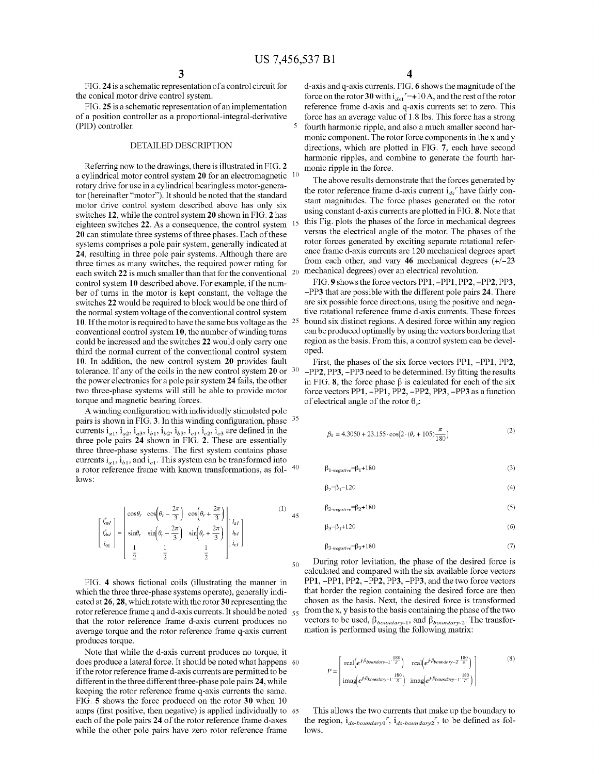FIG. **24** is a schematic representationofa control circuit for the conical motor drive control system.

FIG. 25 is a schematic representation of an implementation of a position controller as a proportional-integral-derivative (PID) controller.

#### DETAILED DESCRIPTION

Referring now to the drawings, there is illustrated in FIG. **2**  a cylindrical motor control system **20** for an electromagnetic 10 rotary drive for use in a cylindrical bearingless motor-generator (hereinafter "motor"). It should be noted that the standard motor drive control system described above has only six switches **12,** while the control system **20** shown in FIG. **2** has eighteen switches 22. As a consequence, the control system **20** can stimulate three systems of three phases. Each of these systems comprises a pole pair system, generally indicated at **24,** resulting in three pole pair systems. Although there are three times as many switches, the required power rating for each switch **22** is much smaller than that for the conventional 20 control system **10** described above. For example, if the number of turns in the motor is kept constant, the voltage the switches **22** would be required to block would be one third of the normal system voltage of the conventional control system **10.** If the motor is required to have the same bus voltage as the conventional control system **10,** the number of winding turns could be increased and the switches **22** would only carry one third the normal current of the conventional control system **10.** In addition, the new control system **20** provides fault tolerance. If any of the coils in the new control system **20** or 30 the power electronics for a pole pair system **24** fails, the other two three-phase systems will still be able to provide motor torque and magnetic bearing forces.

A winding configuration with individually stimulated pole pairs is shown in FIG. **3.** In this winding configuration, phase <sup>35</sup> currents  $i_{a1}$ ,  $i_{a2}$ ,  $i_{a3}$ ,  $i_{b1}$ ,  $i_{b2}$ ,  $i_{b3}$ ,  $i_{c1}$ ,  $i_{c2}$ ,  $i_{c3}$  are defined in the three pole pairs **24** shown in FIG. **2.** These are essentially three three-phase systems. The first system contains phase currents  $i_{a1}$ ,  $i_{b1}$ , and  $i_{c1}$ . This system can be transformed into a rotor reference frame with known transformations, as fol-  $\rm ^{40}$ lows:

$$
\begin{bmatrix} i'_{qst} \\ i'_{dsI} \\ i_{01} \end{bmatrix} = \begin{bmatrix} \cos\theta_r & \cos\left(\theta_r - \frac{2\pi}{3}\right) & \cos\left(\theta_r + \frac{2\pi}{3}\right) \\ \sin\theta_r & \sin\left(\theta_r - \frac{2\pi}{3}\right) & \sin\left(\theta_r + \frac{2\pi}{3}\right) \\ \frac{1}{2} & \frac{1}{2} & \frac{1}{2} \end{bmatrix} \begin{bmatrix} i_{aI} \\ i_{bI} \\ i_{cI} \end{bmatrix}
$$
 (1) 45

FIG. **4** shows fictional coils (illustrating the manner in which the three three-phase systems operate), generally indicated at **26, 28,** which rotate with the rotor **30** representing the rotor reference frame q and d-axis currents. It should be noted  $55$ that the rotor reference frame d-axis current produces no average torque and the rotor reference frame q-axis current produces torque.

Note that while the d-axis current produces no torque, it does produce a lateral force. It should be noted what happens 60 if the rotor reference framed-axis currents are permitted to be different in the three different three-phase pole pairs **24,** while keeping the rotor reference frame q-axis currents the same. FIG. **5** shows the force produced on the rotor **30** when 10 amps (first positive, then negative) is applied individually to 65 each of the pole pairs **24** of the rotor reference framed-axes while the other pole pairs have zero rotor reference frame

d-axis and q-axis currents. FIG. **6** shows the magnitude of the force on the rotor **30** with  $i_{ds1}$ <sup>r</sup>=+10A, and the rest of the rotor reference frame d-axis and q-axis currents set to zero. This force has an average value of 1.8 lbs. This force has a strong 5 fourth harmonic ripple, and also a much smaller second harmonic component. The rotor force components in the x and y directions, which are plotted in FIG. **7,** each have second harmonic ripples, and combine to generate the fourth harmonic ripple in the force.

The above results demonstrate that the forces generated by the rotor reference frame d-axis current  $i_{ds}$ <sup>r</sup> have fairly constant magnitudes. The force phases generated on the rotor using constant d-axis currents are plotted in FIG. **8.** Note that this Fig. plots the phases of the force in mechanical degrees versus the electrical angle of the motor. The phases of the rotor forces generated by exciting separate rotational reference framed-axis currents are 120 mechanical degrees apart from each other, and vary 46 mechanical degrees  $(+/-23)$ mechanical degrees) over an electrical revolution.

FIG. **9** shows the force vectors **PPl, -PPl, PP2, -PP2, PP3, -PP3** that are possible with the different pole pairs **24.** There are six possible force directions, using the positive and negative rotational reference frame d-axis currents. These forces bound six distinct regions. A desired force within any region can be produced optimally by using the vectors bordering that region as the basis. From this, a control system can be developed.

First, the phases of the six force vectors **PPl, -PPl, PP2, -PP2, PP3, -PP3** need to be determined. By fitting the results in FIG. **8**, the force phase  $\beta$  is calculated for each of the six force vectors **PPl, -PPl, PP2, -PP2, PP3, -PP3** as a function of electrical angle of the rotor  $\theta$  *;*:

$$
\beta_1 = 4.3050 + 23.155 \cdot \cos\left(2 \cdot (\theta_r + 105)\frac{\pi}{180}\right) \tag{2}
$$

 $\beta_{1\textit{-negative}}{=}\beta_1{+}180$ (3)

$$
B_2 = B_1 - 120 \tag{4}
$$

$$
\beta_{2\text{-}negative} = \beta_2 + 180\tag{5}
$$

$$
\beta_3 = \beta_1 + 120 \tag{6}
$$

$$
\beta_{3-negative} = \beta_3 + 180\tag{7}
$$

During rotor levitation, the phase of the desired force is calculated and compared with the six available force vectors **PPl, -PPl, PP2, -PP2, PP3, -PP3,** and the two force vectors that border the region containing the desired force are then chosen as the basis. Next, the desired force is transformed from the x, y basis to the basis containing the phase of the two vectors to be used,  $\beta_{boundary-1}$ , and  $\beta_{boundary-2}$ . The transformation is performed using the following matrix:

$$
P = \begin{bmatrix} \text{real}(e^{j\beta_{boundary-1} \cdot \frac{180}{\pi}}) & \text{real}(e^{j\beta_{boundary-2} \cdot \frac{180}{\pi}}) \\ \text{imag}(e^{j\beta_{boundary-1} \cdot \frac{180}{\pi}}) & \text{imag}(e^{j\beta_{boundary-1} \cdot \frac{180}{\pi}}) \end{bmatrix}
$$
(8)

This allows the two currents that make up the boundary to the region,  $i_{ds-boundary1}$ ,  $i_{ds-boundary2}$ , to be defined as follows.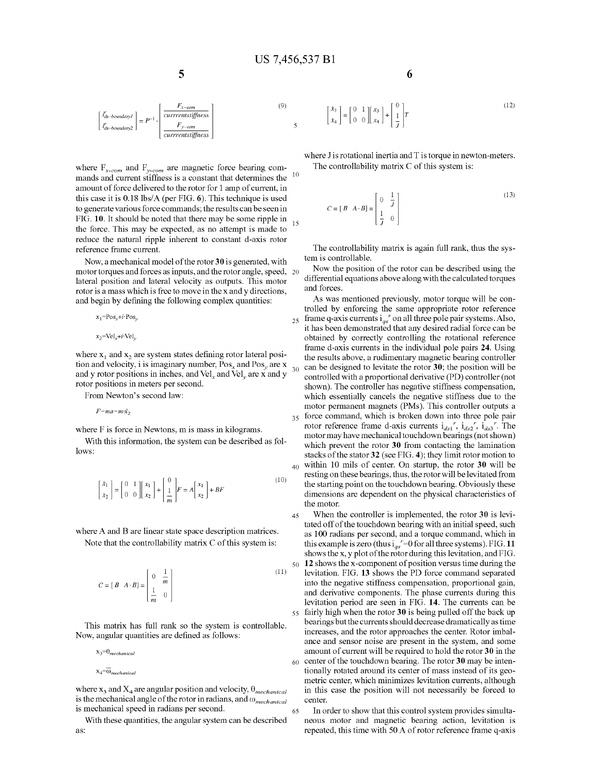$\overline{5}$ 

$$
\begin{bmatrix} i'_{ds-boundary1} \\ i'_{ds-boundary1} \\ i'_{ds-boundary2} \end{bmatrix} = P^{-1} \cdot \begin{bmatrix} F_{x-con} \\ \hline \text{currentstiffness} \\ F_{y-con} \\ \hline \text{currentstiffness} \end{bmatrix}
$$

where 
$$
F_{x-com}
$$
 and  $F_{y-com}$  are magnetic force bearing com-  
mands and current stiffness is a constant that determines the  
amount of force delivered to the rotor for 1 amp of current, in  
this case it is 0.18 lbs/A (per FIG. 6). This technique is used  
to generate various force commands; the results can be seen in  
FIG. 10. It should be noted that there may be some ripple in  
the force. This may be expected, as no attempt is made to  
reduce the natural ripple inherent to constant d-axis rotor  
reference frame current.

Now, a mechanical model of the rotor **30** is generated, with motor torques and forces as inputs, and the rotor angle, speed, 20 lateral position and lateral velocity as outputs. This motor rotor is a mass which is free to move in the x and y directions, and begin by defining the following complex quantities:

$$
x_1 = \text{Pos}_x + i \cdot \text{Pos}_y,
$$
  

$$
x_2 = \text{Vel}_x + i \cdot \text{Vel}_y,
$$

where  $x_1$  and  $x_2$  are system states defining rotor lateral position and velocity, i is imaginary number,  $Pos_x$  and  $Pos_y$  are x<br>tion and velocity, i is imaginary number,  $Pos_x$  and  $Pos_y$  are x and y rotor positions in inches, and  $Vel<sub>r</sub>$  and  $Vel<sub>v</sub>$  are x and y rotor positions in meters per second.

From Newton's second law:

*F=ma=m*· $\dot{x}$ 

where F is force in Newtons, m is mass in kilograms.

With this information, the system can be described as follows:

$$
\begin{bmatrix} \dot{x}_1 \\ \dot{x}_2 \end{bmatrix} = \begin{bmatrix} 0 & 1 \\ 0 & 0 \end{bmatrix} \begin{bmatrix} x_1 \\ x_2 \end{bmatrix} + \begin{bmatrix} 0 \\ \frac{1}{m} \end{bmatrix} F = A \begin{bmatrix} x_1 \\ x_2 \end{bmatrix} + BF
$$
 (10)

where A and B are linear state space description matrices. Note that the controllability matrix C of this system is:

$$
C = [B \quad A \cdot B] = \begin{bmatrix} 0 & \frac{1}{m} \\ \frac{1}{m} & 0 \end{bmatrix}
$$
 (11)

This matrix has full rank so the system is controllable. Now, angular quantities are defined as follows:

 $\mathbf{x}_3\!\!=\!\!\boldsymbol{\uptheta}_{mechanical}$ 

$$
x_4\!\!=\!\!\overline{\omega}_{mechanical}
$$

where  $x_3$  and  $X_4$  are angular position and velocity,  $\theta_{mechanical}$ is the mechanical angle of the rotor in radians, and *wmechanical*  is mechanical speed in radians per second.

With these quantities, the angular system can be described as:

**6** 

$$
\begin{bmatrix} x_3 \\ x_4 \end{bmatrix} = \begin{bmatrix} 0 & 1 \\ 0 & 0 \end{bmatrix} \begin{bmatrix} x_3 \\ x_4 \end{bmatrix} + \begin{bmatrix} 0 \\ 1 \\ 1 \end{bmatrix} T \tag{12}
$$

where  $J$  is rotational inertia and  $T$  is torque in newton-meters. The controllability matrix C of this system is:

$$
C = [B \quad A \cdot B] = \begin{bmatrix} 0 & \frac{1}{J} \\ \frac{1}{J} & 0 \end{bmatrix}
$$
 (13)

The controllability matrix is again full rank, thus the system is controllable.

Now the position of the rotor can be described using the differential equations above along with the calculated torques and forces.

As was mentioned previously, motor torque will be controlled by enforcing the same appropriate rotor reference  $_{25}$  frame q-axis currents  $i_{qs}$ " on all three pole pair systems. Also, it has been demonstrated that any desired radial force can be obtained by correctly controlling the rotational reference framed-axis currents in the individual pole pairs **24.** Using the results above, a rudimentary magnetic bearing controller 30 can be designed to levitate the rotor **30;** the position will be controlled with a proportional derivative (PD) controller (not shown). The controller has negative stiffness compensation, which essentially cancels the negative stiffness due to the motor permanent magnets (PMs). This controller outputs a 35 force command, which is broken down into three pole pair rotor reference frame d-axis currents  $i_{ds1}^r$ ,  $i_{ds2}^r$ ,  $i_{ds3}^r$ . The motor may have mechanical touchdown bearings ( not shown) which prevent the rotor **30** from contacting the lamination stacks of the stator **32** (see FIG. **4);** they limit rotor motion to 40 within 10 mils of center. On startup, the rotor **30** will be resting on these bearings, thus, the rotor will be levitated from the starting point on the touchdown bearing. Obviously these dimensions are dependent on the physical characteristics of the motor.

45 When the controller is implemented, the rotor **30** is levitated off of the touchdown bearing with an initial speed, such as 100 radians per second, and a torque command, which in this example is zero (thus  $i_{qs}^{\ r}=0$  for all three systems). FIG. 11 shows the x, y plot of the rotor during this levitation, and FIG. <sup>50</sup>**12** shows the x-component of position versus time during the levitation. FIG. **13** shows the PD force command separated into the negative stiffness compensation, proportional gain, and derivative components. The phase currents during this levitation period are seen in FIG. **14.** The currents can be 55 fairly high when the rotor **30** is being pulled off the back up bearings but the currents should decrease dramatically as time increases, and the rotor approaches the center. Rotor imbalance and sensor noise are present in the system, and some amount of current will be required to hold the rotor **30** in the 60 center of the touchdown bearing. The rotor **30** may be intentionally rotated around its center of mass instead of its geometric center, which minimizes levitation currents, although in this case the position will not necessarily be forced to center.

65 In order to show that this control system provides simultaneous motor and magnetic bearing action, levitation is repeated, this time with 50 A of rotor reference frame q-axis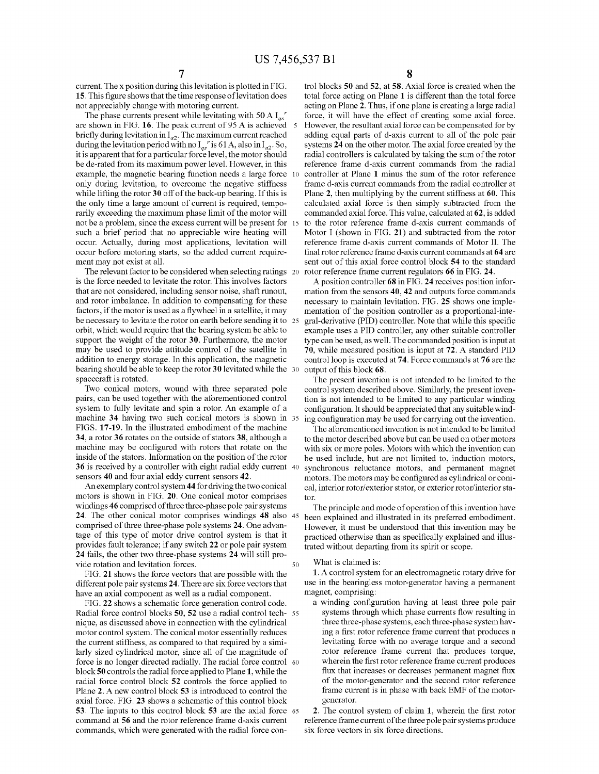current. The x position during this levitation is plotted in FIG. **15.** This figure shows that the time response of levitation does not appreciably change with motoring current.

The phase currents present while levitating with 50 A  $I_{as}^{\,r}$ are shown in FIG. **16.** The peak current of 95 A is achieved 5 briefly during levitation in  $I_{a2}$ . The maximum current reached during the levitation period with no  $I_{qs}$ <sup>r</sup> is 61 A, also in  $I_{a2}$ . So, it is apparent that for a particular force level, the motor should be de-rated from its maximum power level. However, in this example, the magnetic bearing function needs a large force 10 only during levitation, to overcome the negative stiffness while lifting the rotor **30** off of the back-up bearing. If this is the only time a large amount of current is required, temporarily exceeding the maximum phase limit of the motor will not be a problem, since the excess current will be present for 15 such a brief period that no appreciable wire heating will occur. Actually, during most applications, levitation will occur before motoring starts, so the added current requirement may not exist at all.

The relevant factor to be considered when selecting ratings 20 is the force needed to levitate the rotor. This involves factors that are not considered, including sensor noise, shaft runout, and rotor imbalance. In addition to compensating for these factors, if the motor is used as a flywheel in a satellite, it may be necessary to levitate the rotor on earth before sending it to 25 orbit, which would require that the bearing system be able to support the weight of the rotor **30.** Furthermore, the motor may be used to provide attitude control of the satellite in addition to energy storage. In this application, the magnetic bearing should be able to keep the rotor **30** levitated while the spacecraft is rotated.

Two conical motors, wound with three separated pole pairs, can be used together with the aforementioned control system to fully levitate and spin a rotor. An example of a machine **34** having two such conical motors is shown in FIGS. **17-19.** In the illustrated embodiment of the machine **34,** a rotor **36** rotates on the outside of stators **38,** although a machine may be configured with rotors that rotate on the inside of the stators. Information on the position of the rotor **36** is received by a controller with eight radial eddy current 40 sensors **40** and four axial eddy current sensors **42.** 

An exemplary control system **44** for driving the two conical motors is shown in FIG. **20.** One conical motor comprises windings **46** comprised of three three-phase pole pair systems **24.** The other conical motor comprises windings **48** also 45 comprised of three three-phase pole systems **24.** One advantage of this type of motor drive control system is that it provides fault tolerance; if any switch **22** or pole pair system **24** fails, the other two three-phase systems **24** will still provide rotation and levitation forces. 50

FIG. **21** shows the force vectors that are possible with the different pole pair systems **24.** There are six force vectors that have an axial component as well as a radial component.

FIG. **22** shows a schematic force generation control code. Radial force control blocks **50, 52** use a radial control tech- 55 nique, as discussed above in connection with the cylindrical motor control system. The conical motor essentially reduces the current stiffness, as compared to that required by a similarly sized cylindrical motor, since all of the magnitude of force is no longer directed radially. The radial force control 60 block **50** controls the radial force applied to Plane **1,** while the radial force control block **52** controls the force applied to Plane **2.** A new control block **53** is introduced to control the axial force. FIG. **23** shows a schematic of this control block **53.** The inputs to this control block **53** are the axial force 65 command at 56 and the rotor reference frame d-axis current commands, which were generated with the radial force con**8** 

trol blocks **50 and 52, at 58.** Axial force is created when the total force acting on Plane **1** is different than the total force acting on Plane **2.** Thus, if one plane is creating a large radial force, it will have the effect of creating some axial force. However, the resultant axial force can be compensated for by adding equal parts of d-axis current to all of the pole pair systems **24** on the other motor. The axial force created by the radial controllers is calculated by taking the sum of the rotor reference frame d-axis current commands from the radial controller at Plane **1** minus the sum of the rotor reference frame d-axis current commands from the radial controller at Plane **2,** then multiplying by the current stiffness at **60.** This calculated axial force is then simply subtracted from the commanded axial force. This value, calculated at **62,** is added to the rotor reference frame d-axis current commands of Motor I (shown in FIG. **21)** and subtracted from the rotor reference framed-axis current commands of Motor II. The final rotor reference framed-axis current commands at **64** are sent out of this axial force control block **54** to the standard rotor reference frame current regulators **66** in FIG. **24.** 

A position controller **68** in FIG. **24** receives position information from the sensors **40, 42** and outputs force commands necessary to maintain levitation. FIG. **25** shows one implementation of the position controller as a proportional-inte-25 gral-derivative (PID) controller. Note that while this specific example uses a PID controller, any other suitable controller type can be used, as well. The commanded position is input at **70,** while measured position is input at **72.** A standard PID control loop is executed at **74.** Force commands at **76** are the 30 output of this block **68.** 

The present invention is not intended to be limited to the control system described above. Similarly, the present invention is not intended to be limited to any particular winding configuration. It should be appreciated that any suitablewinding configuration may be used for carrying out the invention.

The aforementioned invention is not intended to be limited to the motor described above but can be used on other motors with six or more poles. Motors with which the invention can be used include, but are not limited to, induction motors, synchronous reluctance motors, and permanent magnet motors. The motors may be configured as cylindrical or conical, interior rotor/exterior stator, or exterior rotor/interior stator.

The principle and mode of operation of this invention have been explained and illustrated in its preferred embodiment. However, it must be understood that this invention may be practiced otherwise than as specifically explained and illustrated without departing from its spirit or scope.

#### What is claimed is:

**1.** A control system for an electromagnetic rotary drive for use in the bearingless motor-generator having a permanent magnet, comprising:

a winding configuration having at least three pole pair systems through which phase currents flow resulting in three three-phase systems, each three-phase system having a first rotor reference frame current that produces a levitating force with no average torque and a second rotor reference frame current that produces torque, wherein the first rotor reference frame current produces flux that increases or decreases permanent magnet flux of the motor-generator and the second rotor reference frame current is in phase with back EMF of the motorgenerator.

**2.** The control system of claim **1,** wherein the first rotor reference frame current of the three pole pair systems produce six force vectors in six force directions.